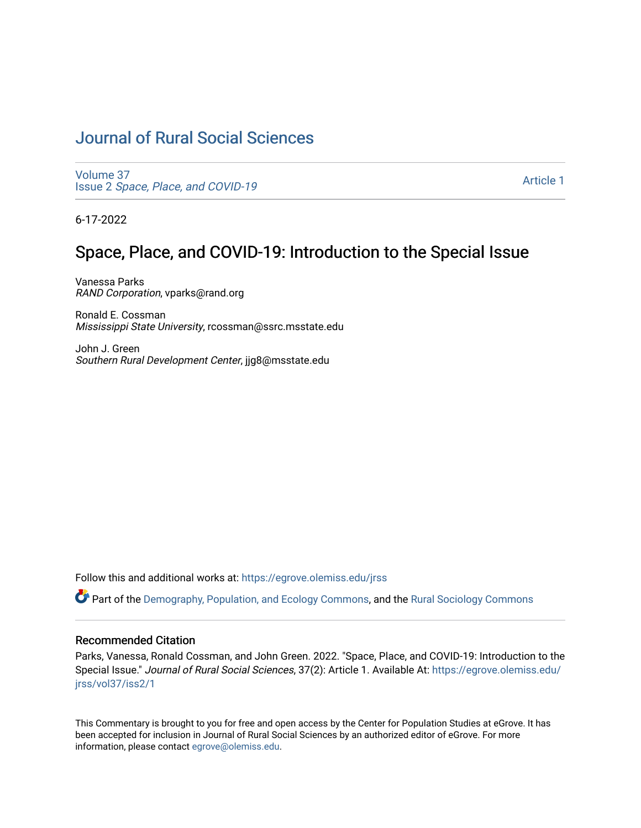## [Journal of Rural Social Sciences](https://egrove.olemiss.edu/jrss)

[Volume 37](https://egrove.olemiss.edu/jrss/vol37) Issue 2 [Space, Place, and COVID-19](https://egrove.olemiss.edu/jrss/vol37/iss2)

[Article 1](https://egrove.olemiss.edu/jrss/vol37/iss2/1) 

6-17-2022

## Space, Place, and COVID-19: Introduction to the Special Issue

Vanessa Parks RAND Corporation, vparks@rand.org

Ronald E. Cossman Mississippi State University, rcossman@ssrc.msstate.edu

John J. Green Southern Rural Development Center, jjg8@msstate.edu

Follow this and additional works at: [https://egrove.olemiss.edu/jrss](https://egrove.olemiss.edu/jrss?utm_source=egrove.olemiss.edu%2Fjrss%2Fvol37%2Fiss2%2F1&utm_medium=PDF&utm_campaign=PDFCoverPages) 

Part of the [Demography, Population, and Ecology Commons,](https://network.bepress.com/hgg/discipline/418?utm_source=egrove.olemiss.edu%2Fjrss%2Fvol37%2Fiss2%2F1&utm_medium=PDF&utm_campaign=PDFCoverPages) and the [Rural Sociology Commons](https://network.bepress.com/hgg/discipline/428?utm_source=egrove.olemiss.edu%2Fjrss%2Fvol37%2Fiss2%2F1&utm_medium=PDF&utm_campaign=PDFCoverPages) 

#### Recommended Citation

Parks, Vanessa, Ronald Cossman, and John Green. 2022. "Space, Place, and COVID-19: Introduction to the Special Issue." Journal of Rural Social Sciences, 37(2): Article 1. Available At: [https://egrove.olemiss.edu/](https://egrove.olemiss.edu/jrss/vol37/iss2/1?utm_source=egrove.olemiss.edu%2Fjrss%2Fvol37%2Fiss2%2F1&utm_medium=PDF&utm_campaign=PDFCoverPages) [jrss/vol37/iss2/1](https://egrove.olemiss.edu/jrss/vol37/iss2/1?utm_source=egrove.olemiss.edu%2Fjrss%2Fvol37%2Fiss2%2F1&utm_medium=PDF&utm_campaign=PDFCoverPages) 

This Commentary is brought to you for free and open access by the Center for Population Studies at eGrove. It has been accepted for inclusion in Journal of Rural Social Sciences by an authorized editor of eGrove. For more information, please contact [egrove@olemiss.edu](mailto:egrove@olemiss.edu).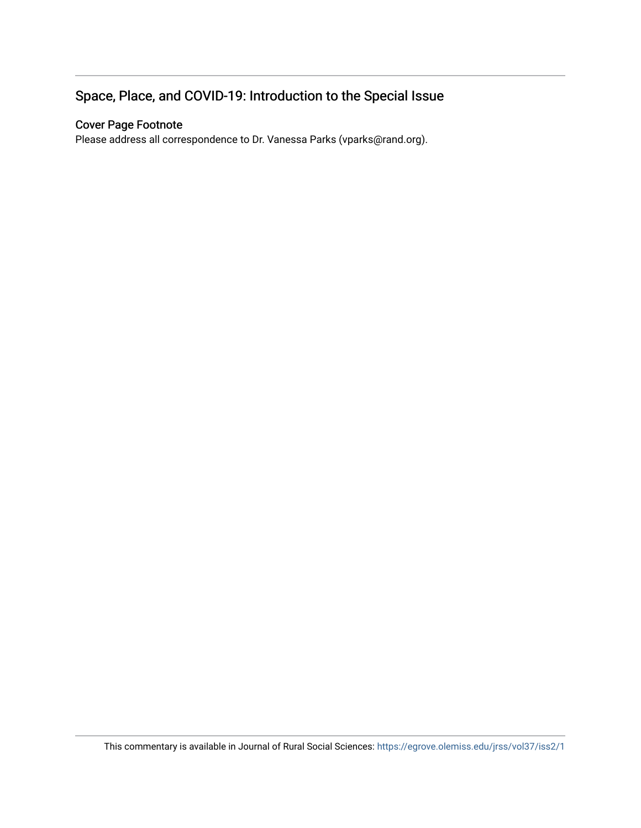### Space, Place, and COVID-19: Introduction to the Special Issue

#### Cover Page Footnote

Please address all correspondence to Dr. Vanessa Parks (vparks@rand.org).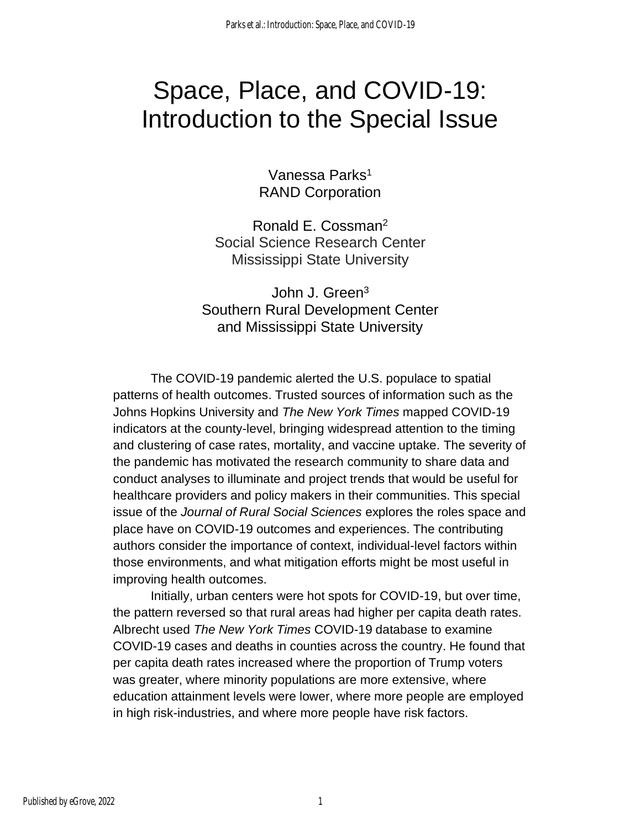# Space, Place, and COVID-19: Introduction to the Special Issue

Vanessa Parks<sup>1</sup> RAND Corporation

Ronald E. Cossman<sup>2</sup> Social Science Research Center Mississippi State University

John J. Green<sup>3</sup> Southern Rural Development Center and Mississippi State University

The COVID-19 pandemic alerted the U.S. populace to spatial patterns of health outcomes. Trusted sources of information such as the Johns Hopkins University and *The New York Times* mapped COVID-19 indicators at the county-level, bringing widespread attention to the timing and clustering of case rates, mortality, and vaccine uptake. The severity of the pandemic has motivated the research community to share data and conduct analyses to illuminate and project trends that would be useful for healthcare providers and policy makers in their communities. This special issue of the *Journal of Rural Social Sciences* explores the roles space and place have on COVID-19 outcomes and experiences. The contributing authors consider the importance of context, individual-level factors within those environments, and what mitigation efforts might be most useful in improving health outcomes.

Initially, urban centers were hot spots for COVID-19, but over time, the pattern reversed so that rural areas had higher per capita death rates. Albrecht used *The New York Times* COVID-19 database to examine COVID-19 cases and deaths in counties across the country. He found that per capita death rates increased where the proportion of Trump voters was greater, where minority populations are more extensive, where education attainment levels were lower, where more people are employed in high risk-industries, and where more people have risk factors.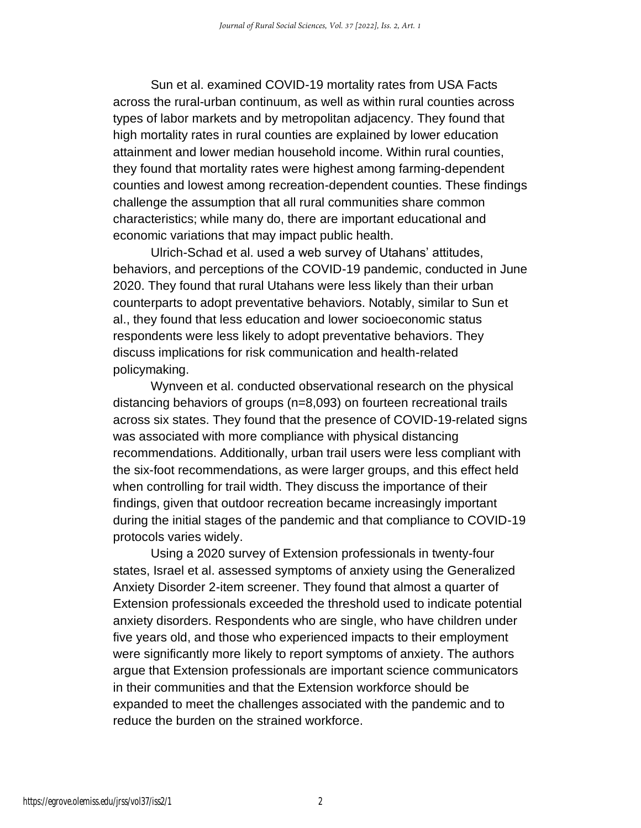Sun et al. examined COVID-19 mortality rates from USA Facts across the rural-urban continuum, as well as within rural counties across types of labor markets and by metropolitan adjacency. They found that high mortality rates in rural counties are explained by lower education attainment and lower median household income. Within rural counties, they found that mortality rates were highest among farming-dependent counties and lowest among recreation-dependent counties. These findings challenge the assumption that all rural communities share common characteristics; while many do, there are important educational and economic variations that may impact public health.

Ulrich-Schad et al. used a web survey of Utahans' attitudes, behaviors, and perceptions of the COVID-19 pandemic, conducted in June 2020. They found that rural Utahans were less likely than their urban counterparts to adopt preventative behaviors. Notably, similar to Sun et al., they found that less education and lower socioeconomic status respondents were less likely to adopt preventative behaviors. They discuss implications for risk communication and health-related policymaking.

Wynveen et al. conducted observational research on the physical distancing behaviors of groups (n=8,093) on fourteen recreational trails across six states. They found that the presence of COVID-19-related signs was associated with more compliance with physical distancing recommendations. Additionally, urban trail users were less compliant with the six-foot recommendations, as were larger groups, and this effect held when controlling for trail width. They discuss the importance of their findings, given that outdoor recreation became increasingly important during the initial stages of the pandemic and that compliance to COVID-19 protocols varies widely.

Using a 2020 survey of Extension professionals in twenty-four states, Israel et al. assessed symptoms of anxiety using the Generalized Anxiety Disorder 2-item screener. They found that almost a quarter of Extension professionals exceeded the threshold used to indicate potential anxiety disorders. Respondents who are single, who have children under five years old, and those who experienced impacts to their employment were significantly more likely to report symptoms of anxiety. The authors argue that Extension professionals are important science communicators in their communities and that the Extension workforce should be expanded to meet the challenges associated with the pandemic and to reduce the burden on the strained workforce.